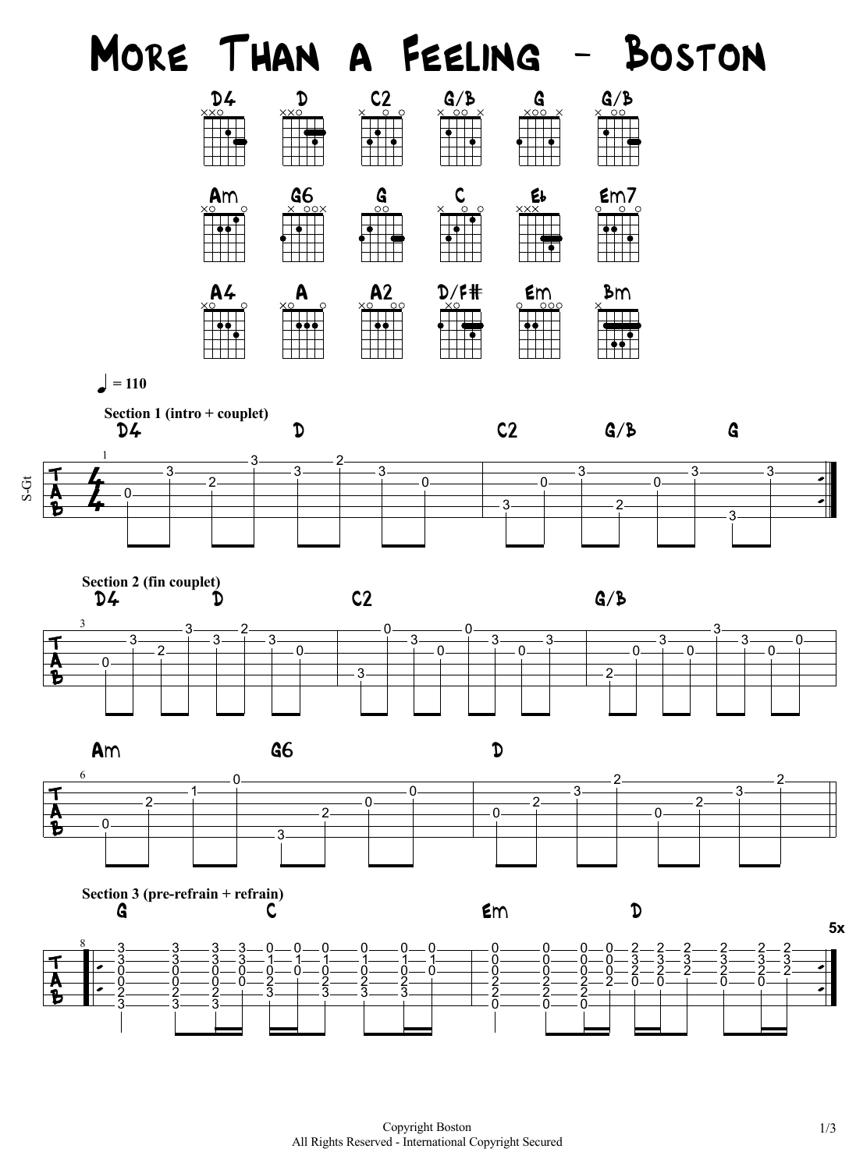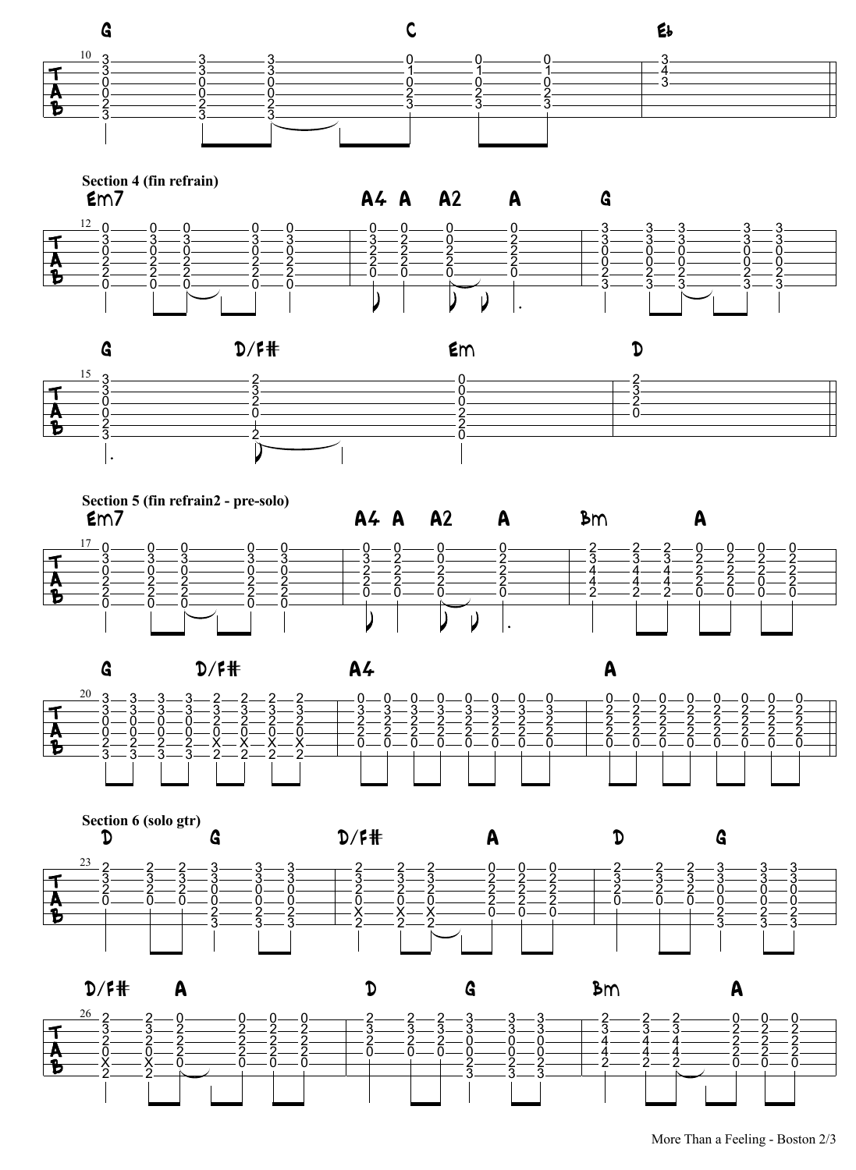